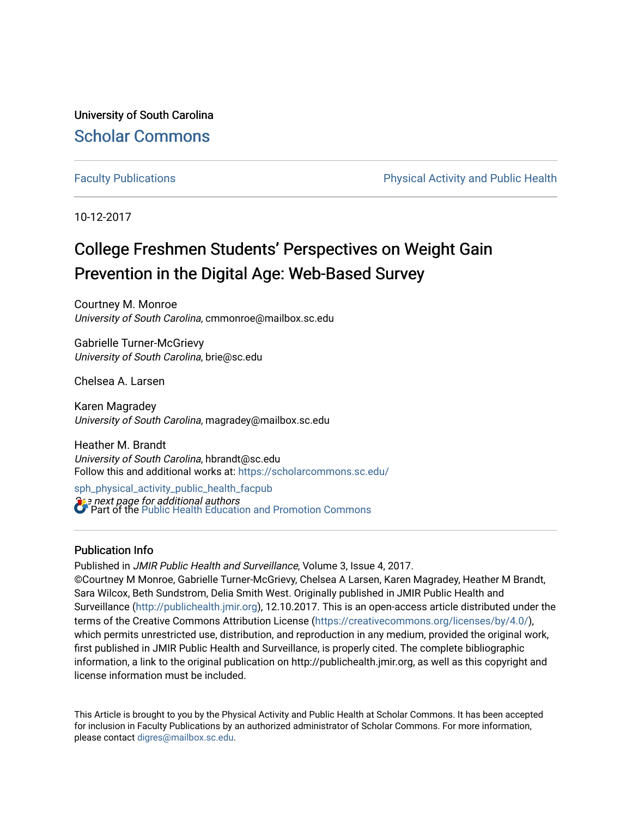University of South Carolina [Scholar Commons](https://scholarcommons.sc.edu/) 

[Faculty Publications](https://scholarcommons.sc.edu/sph_physical_activity_public_health_facpub) **Physical Activity and Public Health** Physical Activity and Public Health

10-12-2017

# College Freshmen Students' Perspectives on Weight Gain Prevention in the Digital Age: Web-Based Survey

Courtney M. Monroe University of South Carolina, cmmonroe@mailbox.sc.edu

Gabrielle Turner-McGrievy University of South Carolina, brie@sc.edu

Chelsea A. Larsen

Karen Magradey University of South Carolina, magradey@mailbox.sc.edu

Heather M. Brandt University of South Carolina, hbrandt@sc.edu Follow this and additional works at: [https://scholarcommons.sc.edu/](https://scholarcommons.sc.edu/sph_physical_activity_public_health_facpub?utm_source=scholarcommons.sc.edu%2Fsph_physical_activity_public_health_facpub%2F381&utm_medium=PDF&utm_campaign=PDFCoverPages)

**See next page for additional authors** [sph\\_physical\\_activity\\_public\\_health\\_facpub](https://scholarcommons.sc.edu/sph_physical_activity_public_health_facpub?utm_source=scholarcommons.sc.edu%2Fsph_physical_activity_public_health_facpub%2F381&utm_medium=PDF&utm_campaign=PDFCoverPages)  **Part of the Public Health Education and Promotion Commons** 

## Publication Info

Published in JMIR Public Health and Surveillance, Volume 3, Issue 4, 2017.

©Courtney M Monroe, Gabrielle Turner-McGrievy, Chelsea A Larsen, Karen Magradey, Heather M Brandt, Sara Wilcox, Beth Sundstrom, Delia Smith West. Originally published in JMIR Public Health and Surveillance ([http://publichealth.jmir.org](http://publichealth.jmir.org/)), 12.10.2017. This is an open-access article distributed under the terms of the Creative Commons Attribution License [\(https://creativecommons.org/licenses/by/4.0/](https://creativecommons.org/licenses/by/4.0/)), which permits unrestricted use, distribution, and reproduction in any medium, provided the original work, first published in JMIR Public Health and Surveillance, is properly cited. The complete bibliographic information, a link to the original publication on http://publichealth.jmir.org, as well as this copyright and license information must be included.

This Article is brought to you by the Physical Activity and Public Health at Scholar Commons. It has been accepted for inclusion in Faculty Publications by an authorized administrator of Scholar Commons. For more information, please contact [digres@mailbox.sc.edu](mailto:digres@mailbox.sc.edu).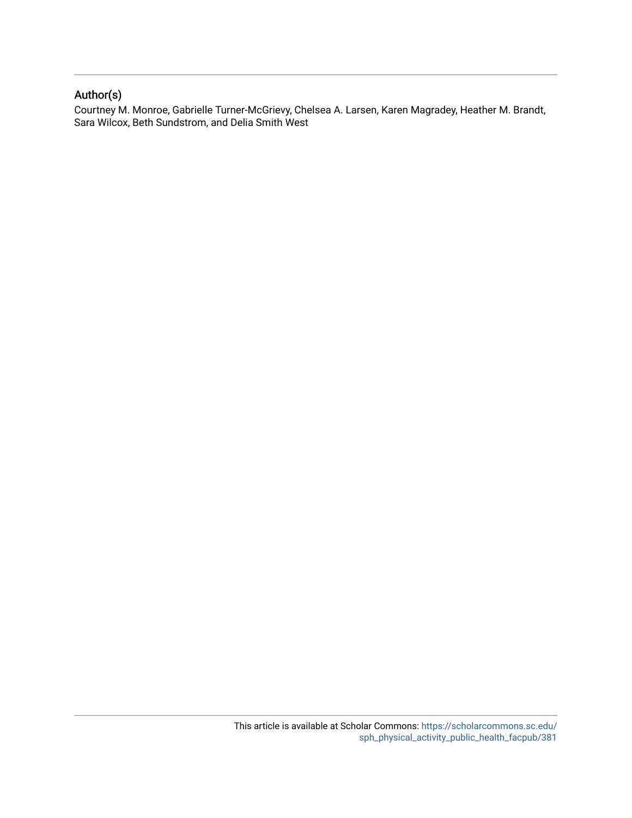## Author(s)

Courtney M. Monroe, Gabrielle Turner-McGrievy, Chelsea A. Larsen, Karen Magradey, Heather M. Brandt, Sara Wilcox, Beth Sundstrom, and Delia Smith West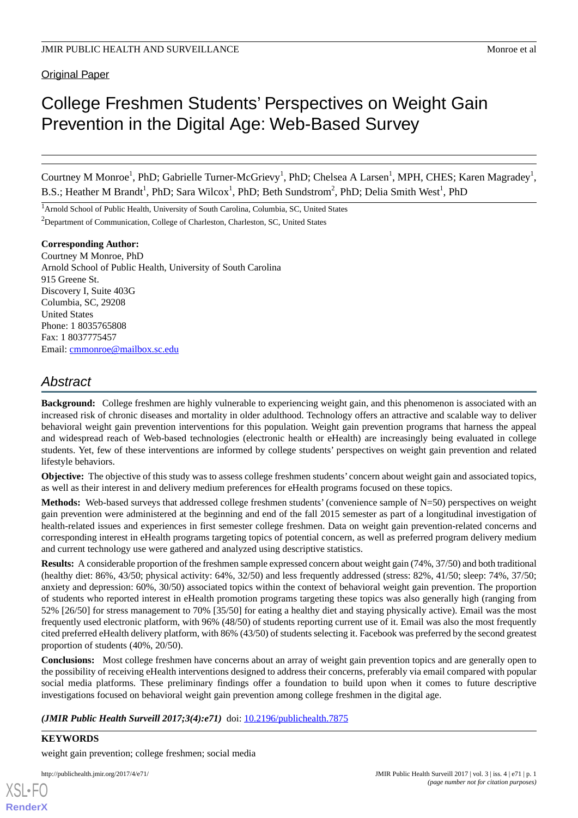## **Original Paper**

# College Freshmen Students' Perspectives on Weight Gain Prevention in the Digital Age: Web-Based Survey

Courtney M Monroe<sup>1</sup>, PhD; Gabrielle Turner-McGrievy<sup>1</sup>, PhD; Chelsea A Larsen<sup>1</sup>, MPH, CHES; Karen Magradey<sup>1</sup>, B.S.; Heather M Brandt<sup>1</sup>, PhD; Sara Wilcox<sup>1</sup>, PhD; Beth Sundstrom<sup>2</sup>, PhD; Delia Smith West<sup>1</sup>, PhD

<sup>1</sup>Arnold School of Public Health, University of South Carolina, Columbia, SC, United States

<sup>2</sup>Department of Communication, College of Charleston, Charleston, SC, United States

## **Corresponding Author:**

Courtney M Monroe, PhD Arnold School of Public Health, University of South Carolina 915 Greene St. Discovery I, Suite 403G Columbia, SC, 29208 United States Phone: 1 8035765808 Fax: 1 8037775457 Email: [cmmonroe@mailbox.sc.edu](mailto:cmmonroe@mailbox.sc.edu)

## *Abstract*

**Background:** College freshmen are highly vulnerable to experiencing weight gain, and this phenomenon is associated with an increased risk of chronic diseases and mortality in older adulthood. Technology offers an attractive and scalable way to deliver behavioral weight gain prevention interventions for this population. Weight gain prevention programs that harness the appeal and widespread reach of Web-based technologies (electronic health or eHealth) are increasingly being evaluated in college students. Yet, few of these interventions are informed by college students' perspectives on weight gain prevention and related lifestyle behaviors.

**Objective:** The objective of this study was to assess college freshmen students' concern about weight gain and associated topics, as well as their interest in and delivery medium preferences for eHealth programs focused on these topics.

**Methods:** Web-based surveys that addressed college freshmen students' (convenience sample of N=50) perspectives on weight gain prevention were administered at the beginning and end of the fall 2015 semester as part of a longitudinal investigation of health-related issues and experiences in first semester college freshmen. Data on weight gain prevention-related concerns and corresponding interest in eHealth programs targeting topics of potential concern, as well as preferred program delivery medium and current technology use were gathered and analyzed using descriptive statistics.

**Results:** A considerable proportion of the freshmen sample expressed concern about weight gain (74%, 37/50) and both traditional (healthy diet: 86%, 43/50; physical activity: 64%, 32/50) and less frequently addressed (stress: 82%, 41/50; sleep: 74%, 37/50; anxiety and depression: 60%, 30/50) associated topics within the context of behavioral weight gain prevention. The proportion of students who reported interest in eHealth promotion programs targeting these topics was also generally high (ranging from 52% [26/50] for stress management to 70% [35/50] for eating a healthy diet and staying physically active). Email was the most frequently used electronic platform, with 96% (48/50) of students reporting current use of it. Email was also the most frequently cited preferred eHealth delivery platform, with 86% (43/50) of students selecting it. Facebook was preferred by the second greatest proportion of students (40%, 20/50).

**Conclusions:** Most college freshmen have concerns about an array of weight gain prevention topics and are generally open to the possibility of receiving eHealth interventions designed to address their concerns, preferably via email compared with popular social media platforms. These preliminary findings offer a foundation to build upon when it comes to future descriptive investigations focused on behavioral weight gain prevention among college freshmen in the digital age.

*(JMIR Public Health Surveill 2017;3(4):e71)* doi: [10.2196/publichealth.7875](http://dx.doi.org/10.2196/publichealth.7875)

## **KEYWORDS**

[XSL](http://www.w3.org/Style/XSL)•FO **[RenderX](http://www.renderx.com/)**

weight gain prevention; college freshmen; social media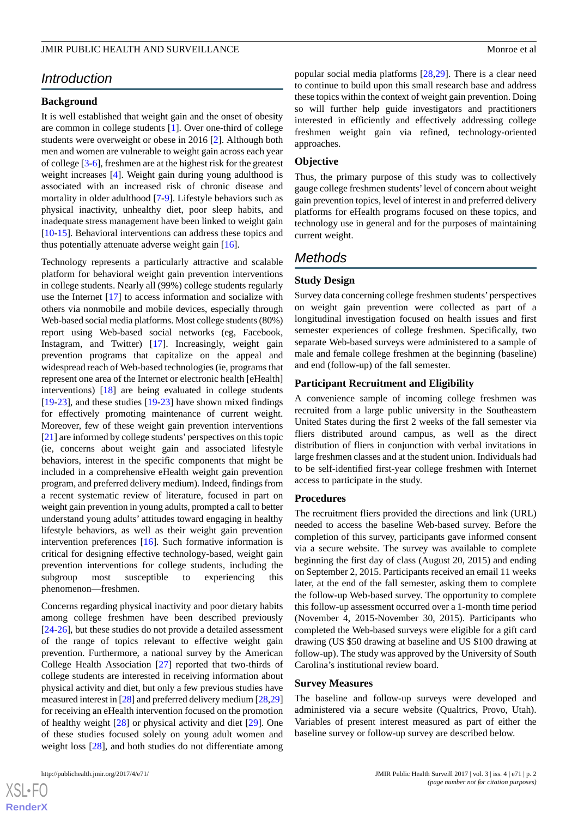## *Introduction*

## **Background**

It is well established that weight gain and the onset of obesity are common in college students [\[1](#page-8-0)]. Over one-third of college students were overweight or obese in 2016 [[2\]](#page-8-1). Although both men and women are vulnerable to weight gain across each year of college [[3](#page-8-2)[-6](#page-8-3)], freshmen are at the highest risk for the greatest weight increases [[4\]](#page-8-4). Weight gain during young adulthood is associated with an increased risk of chronic disease and mortality in older adulthood [\[7](#page-8-5)-[9](#page-8-6)]. Lifestyle behaviors such as physical inactivity, unhealthy diet, poor sleep habits, and inadequate stress management have been linked to weight gain [[10](#page-8-7)[-15](#page-8-8)]. Behavioral interventions can address these topics and thus potentially attenuate adverse weight gain [\[16](#page-8-9)].

Technology represents a particularly attractive and scalable platform for behavioral weight gain prevention interventions in college students. Nearly all (99%) college students regularly use the Internet [[17\]](#page-8-10) to access information and socialize with others via nonmobile and mobile devices, especially through Web-based social media platforms. Most college students (80%) report using Web-based social networks (eg, Facebook, Instagram, and Twitter) [\[17](#page-8-10)]. Increasingly, weight gain prevention programs that capitalize on the appeal and widespread reach of Web-based technologies (ie, programs that represent one area of the Internet or electronic health [eHealth] interventions) [\[18](#page-9-0)] are being evaluated in college students [[19](#page-9-1)[-23](#page-9-2)], and these studies [\[19](#page-9-1)-[23\]](#page-9-2) have shown mixed findings for effectively promoting maintenance of current weight. Moreover, few of these weight gain prevention interventions [[21\]](#page-9-3) are informed by college students'perspectives on this topic (ie, concerns about weight gain and associated lifestyle behaviors, interest in the specific components that might be included in a comprehensive eHealth weight gain prevention program, and preferred delivery medium). Indeed, findings from a recent systematic review of literature, focused in part on weight gain prevention in young adults, prompted a call to better understand young adults' attitudes toward engaging in healthy lifestyle behaviors, as well as their weight gain prevention intervention preferences [[16\]](#page-8-9). Such formative information is critical for designing effective technology-based, weight gain prevention interventions for college students, including the subgroup most susceptible to experiencing this phenomenon—freshmen.

Concerns regarding physical inactivity and poor dietary habits among college freshmen have been described previously [[24](#page-9-4)[-26](#page-9-5)], but these studies do not provide a detailed assessment of the range of topics relevant to effective weight gain prevention. Furthermore, a national survey by the American College Health Association [[27\]](#page-9-6) reported that two-thirds of college students are interested in receiving information about physical activity and diet, but only a few previous studies have measured interest in [[28\]](#page-9-7) and preferred delivery medium [\[28](#page-9-7)[,29](#page-9-8)] for receiving an eHealth intervention focused on the promotion of healthy weight [\[28](#page-9-7)] or physical activity and diet [\[29](#page-9-8)]. One of these studies focused solely on young adult women and weight loss [[28\]](#page-9-7), and both studies do not differentiate among

popular social media platforms [\[28](#page-9-7),[29\]](#page-9-8). There is a clear need to continue to build upon this small research base and address these topics within the context of weight gain prevention. Doing so will further help guide investigators and practitioners interested in efficiently and effectively addressing college freshmen weight gain via refined, technology-oriented approaches.

### **Objective**

Thus, the primary purpose of this study was to collectively gauge college freshmen students'level of concern about weight gain prevention topics, level of interest in and preferred delivery platforms for eHealth programs focused on these topics, and technology use in general and for the purposes of maintaining current weight.

## *Methods*

## **Study Design**

Survey data concerning college freshmen students'perspectives on weight gain prevention were collected as part of a longitudinal investigation focused on health issues and first semester experiences of college freshmen. Specifically, two separate Web-based surveys were administered to a sample of male and female college freshmen at the beginning (baseline) and end (follow-up) of the fall semester.

#### **Participant Recruitment and Eligibility**

A convenience sample of incoming college freshmen was recruited from a large public university in the Southeastern United States during the first 2 weeks of the fall semester via fliers distributed around campus, as well as the direct distribution of fliers in conjunction with verbal invitations in large freshmen classes and at the student union. Individuals had to be self-identified first-year college freshmen with Internet access to participate in the study.

#### **Procedures**

The recruitment fliers provided the directions and link (URL) needed to access the baseline Web-based survey. Before the completion of this survey, participants gave informed consent via a secure website. The survey was available to complete beginning the first day of class (August 20, 2015) and ending on September 2, 2015. Participants received an email 11 weeks later, at the end of the fall semester, asking them to complete the follow-up Web-based survey. The opportunity to complete this follow-up assessment occurred over a 1-month time period (November 4, 2015-November 30, 2015). Participants who completed the Web-based surveys were eligible for a gift card drawing (US \$50 drawing at baseline and US \$100 drawing at follow-up). The study was approved by the University of South Carolina's institutional review board.

#### **Survey Measures**

The baseline and follow-up surveys were developed and administered via a secure website (Qualtrics, Provo, Utah). Variables of present interest measured as part of either the baseline survey or follow-up survey are described below.

```
XS • FO
RenderX
```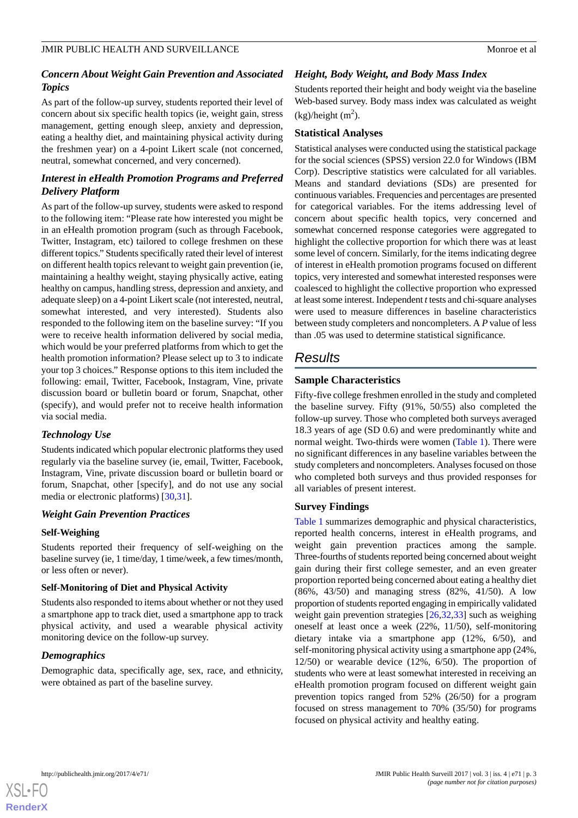## *Concern About Weight Gain Prevention and Associated Topics*

As part of the follow-up survey, students reported their level of concern about six specific health topics (ie, weight gain, stress management, getting enough sleep, anxiety and depression, eating a healthy diet, and maintaining physical activity during the freshmen year) on a 4-point Likert scale (not concerned, neutral, somewhat concerned, and very concerned).

## *Interest in eHealth Promotion Programs and Preferred Delivery Platform*

As part of the follow-up survey, students were asked to respond to the following item: "Please rate how interested you might be in an eHealth promotion program (such as through Facebook, Twitter, Instagram, etc) tailored to college freshmen on these different topics." Students specifically rated their level of interest on different health topics relevant to weight gain prevention (ie, maintaining a healthy weight, staying physically active, eating healthy on campus, handling stress, depression and anxiety, and adequate sleep) on a 4-point Likert scale (not interested, neutral, somewhat interested, and very interested). Students also responded to the following item on the baseline survey: "If you were to receive health information delivered by social media, which would be your preferred platforms from which to get the health promotion information? Please select up to 3 to indicate your top 3 choices." Response options to this item included the following: email, Twitter, Facebook, Instagram, Vine, private discussion board or bulletin board or forum, Snapchat, other (specify), and would prefer not to receive health information via social media.

## *Technology Use*

Students indicated which popular electronic platforms they used regularly via the baseline survey (ie, email, Twitter, Facebook, Instagram, Vine, private discussion board or bulletin board or forum, Snapchat, other [specify], and do not use any social media or electronic platforms) [[30,](#page-9-9)[31](#page-9-10)].

## *Weight Gain Prevention Practices*

## **Self-Weighing**

Students reported their frequency of self-weighing on the baseline survey (ie, 1 time/day, 1 time/week, a few times/month, or less often or never).

## **Self-Monitoring of Diet and Physical Activity**

Students also responded to items about whether or not they used a smartphone app to track diet, used a smartphone app to track physical activity, and used a wearable physical activity monitoring device on the follow-up survey.

## *Demographics*

Demographic data, specifically age, sex, race, and ethnicity, were obtained as part of the baseline survey.

## *Height, Body Weight, and Body Mass Index*

Students reported their height and body weight via the baseline Web-based survey. Body mass index was calculated as weight  $(kg)/height (m<sup>2</sup>).$ 

## **Statistical Analyses**

Statistical analyses were conducted using the statistical package for the social sciences (SPSS) version 22.0 for Windows (IBM Corp). Descriptive statistics were calculated for all variables. Means and standard deviations (SDs) are presented for continuous variables. Frequencies and percentages are presented for categorical variables. For the items addressing level of concern about specific health topics, very concerned and somewhat concerned response categories were aggregated to highlight the collective proportion for which there was at least some level of concern. Similarly, for the items indicating degree of interest in eHealth promotion programs focused on different topics, very interested and somewhat interested responses were coalesced to highlight the collective proportion who expressed at least some interest. Independent *t*tests and chi-square analyses were used to measure differences in baseline characteristics between study completers and noncompleters. A *P* value of less than .05 was used to determine statistical significance.

## *Results*

## **Sample Characteristics**

Fifty-five college freshmen enrolled in the study and completed the baseline survey. Fifty (91%, 50/55) also completed the follow-up survey. Those who completed both surveys averaged 18.3 years of age (SD 0.6) and were predominantly white and normal weight. Two-thirds were women ([Table 1](#page-5-0)). There were no significant differences in any baseline variables between the study completers and noncompleters. Analyses focused on those who completed both surveys and thus provided responses for all variables of present interest.

## **Survey Findings**

[Table 1](#page-5-0) summarizes demographic and physical characteristics, reported health concerns, interest in eHealth programs, and weight gain prevention practices among the sample. Three-fourths of students reported being concerned about weight gain during their first college semester, and an even greater proportion reported being concerned about eating a healthy diet (86%, 43/50) and managing stress (82%, 41/50). A low proportion of students reported engaging in empirically validated weight gain prevention strategies [\[26](#page-9-5),[32](#page-9-11)[,33](#page-9-12)] such as weighing oneself at least once a week (22%, 11/50), self-monitoring dietary intake via a smartphone app (12%, 6/50), and self-monitoring physical activity using a smartphone app (24%, 12/50) or wearable device (12%, 6/50). The proportion of students who were at least somewhat interested in receiving an eHealth promotion program focused on different weight gain prevention topics ranged from 52% (26/50) for a program focused on stress management to 70% (35/50) for programs focused on physical activity and healthy eating.

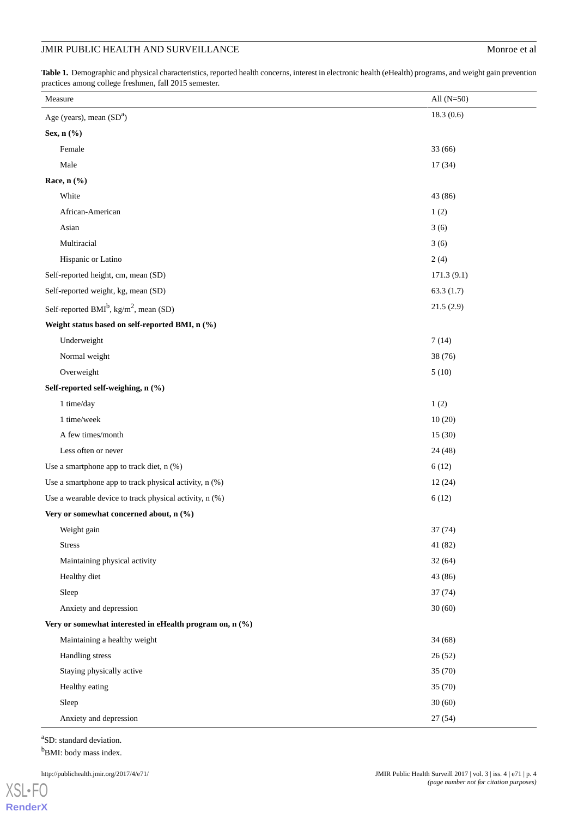## JMIR PUBLIC HEALTH AND SURVEILLANCE Monroe et al

<span id="page-5-0"></span>Table 1. Demographic and physical characteristics, reported health concerns, interest in electronic health (eHealth) programs, and weight gain prevention practices among college freshmen, fall 2015 semester.

| Measure                                                        | All $(N=50)$ |
|----------------------------------------------------------------|--------------|
| Age (years), mean $(SDa)$                                      | 18.3(0.6)    |
| Sex, n (%)                                                     |              |
| Female                                                         | 33 (66)      |
| Male                                                           | 17(34)       |
| Race, $n$ (%)                                                  |              |
| White                                                          | 43 (86)      |
| African-American                                               | 1(2)         |
| Asian                                                          | 3(6)         |
| Multiracial                                                    | 3(6)         |
| Hispanic or Latino                                             | 2(4)         |
| Self-reported height, cm, mean (SD)                            | 171.3(9.1)   |
| Self-reported weight, kg, mean (SD)                            | 63.3(1.7)    |
| Self-reported BMI <sup>b</sup> , kg/m <sup>2</sup> , mean (SD) | 21.5(2.9)    |
| Weight status based on self-reported BMI, n (%)                |              |
| Underweight                                                    | 7(14)        |
| Normal weight                                                  | 38 (76)      |
| Overweight                                                     | 5(10)        |
| Self-reported self-weighing, n (%)                             |              |
| 1 time/day                                                     | 1(2)         |
| 1 time/week                                                    | 10(20)       |
| A few times/month                                              | 15(30)       |
| Less often or never                                            | 24 (48)      |
| Use a smartphone app to track diet, $n$ (%)                    | 6(12)        |
| Use a smartphone app to track physical activity, n (%)         | 12(24)       |
| Use a wearable device to track physical activity, n (%)        | 6(12)        |
| Very or somewhat concerned about, n (%)                        |              |
| Weight gain                                                    | 37 (74)      |
| <b>Stress</b>                                                  | 41 (82)      |
| Maintaining physical activity                                  | 32(64)       |
| Healthy diet                                                   | 43 (86)      |
| Sleep                                                          | 37(74)       |
| Anxiety and depression                                         | 30(60)       |
| Very or somewhat interested in eHealth program on, n (%)       |              |
| Maintaining a healthy weight                                   | 34(68)       |
| Handling stress                                                | 26(52)       |
| Staying physically active                                      | 35 (70)      |
| Healthy eating                                                 | 35 (70)      |
| Sleep                                                          | 30(60)       |
| Anxiety and depression                                         | 27 (54)      |

<sup>a</sup>SD: standard deviation.  ${\rm ^bBMl:}$  body mass index.

[XSL](http://www.w3.org/Style/XSL)•FO **[RenderX](http://www.renderx.com/)**

http://publichealth.jmir.org/2017/4/e71/ JMIR Public Health Surveill 2017 | vol. 3 | iss. 4 | e71 | p. 4 *(page number not for citation purposes)*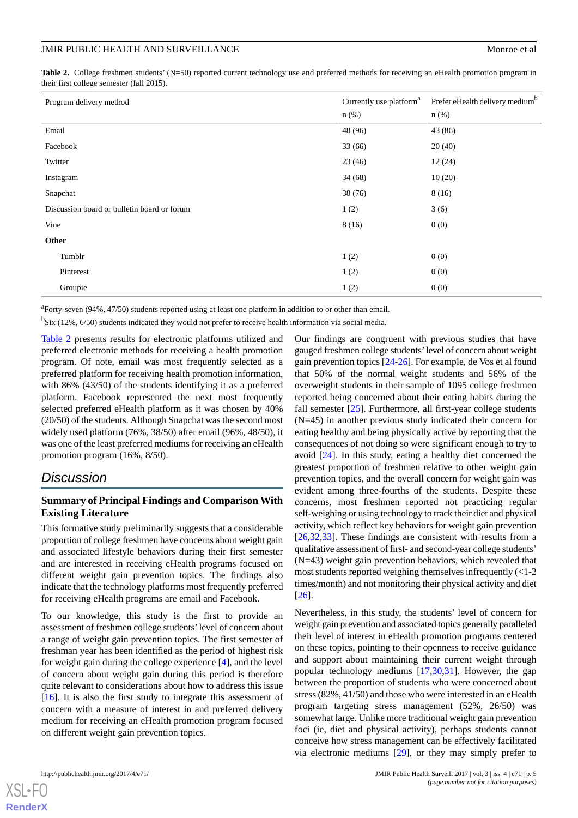<span id="page-6-0"></span>Table 2. College freshmen students' (N=50) reported current technology use and preferred methods for receiving an eHealth promotion program in their first college semester (fall 2015).

| Program delivery method                     | Currently use platform <sup>a</sup> | Prefer eHealth delivery medium <sup>b</sup> |
|---------------------------------------------|-------------------------------------|---------------------------------------------|
|                                             | $n$ (%)                             | $n(\%)$                                     |
| Email                                       | 48 (96)                             | 43 (86)                                     |
| Facebook                                    | 33 (66)                             | 20(40)                                      |
| Twitter                                     | 23(46)                              | 12(24)                                      |
| Instagram                                   | 34(68)                              | 10(20)                                      |
| Snapchat                                    | 38(76)                              | 8(16)                                       |
| Discussion board or bulletin board or forum | 1(2)                                | 3(6)                                        |
| Vine                                        | 8(16)                               | 0(0)                                        |
| Other                                       |                                     |                                             |
| Tumblr                                      | 1(2)                                | 0(0)                                        |
| Pinterest                                   | 1(2)                                | 0(0)                                        |
| Groupie                                     | 1(2)                                | 0(0)                                        |

<sup>a</sup>Forty-seven (94%, 47/50) students reported using at least one platform in addition to or other than email.

<sup>b</sup>Six (12%, 6/50) students indicated they would not prefer to receive health information via social media.

[Table 2](#page-6-0) presents results for electronic platforms utilized and preferred electronic methods for receiving a health promotion program. Of note, email was most frequently selected as a preferred platform for receiving health promotion information, with 86% (43/50) of the students identifying it as a preferred platform. Facebook represented the next most frequently selected preferred eHealth platform as it was chosen by 40% (20/50) of the students. Although Snapchat was the second most widely used platform (76%, 38/50) after email (96%, 48/50), it was one of the least preferred mediums for receiving an eHealth promotion program (16%, 8/50).

## *Discussion*

## **Summary of Principal Findings and Comparison With Existing Literature**

This formative study preliminarily suggests that a considerable proportion of college freshmen have concerns about weight gain and associated lifestyle behaviors during their first semester and are interested in receiving eHealth programs focused on different weight gain prevention topics. The findings also indicate that the technology platforms most frequently preferred for receiving eHealth programs are email and Facebook.

To our knowledge, this study is the first to provide an assessment of freshmen college students'level of concern about a range of weight gain prevention topics. The first semester of freshman year has been identified as the period of highest risk for weight gain during the college experience [\[4](#page-8-4)], and the level of concern about weight gain during this period is therefore quite relevant to considerations about how to address this issue [[16\]](#page-8-9). It is also the first study to integrate this assessment of concern with a measure of interest in and preferred delivery medium for receiving an eHealth promotion program focused on different weight gain prevention topics.

Our findings are congruent with previous studies that have gauged freshmen college students'level of concern about weight gain prevention topics [[24-](#page-9-4)[26](#page-9-5)]. For example, de Vos et al found that 50% of the normal weight students and 56% of the overweight students in their sample of 1095 college freshmen reported being concerned about their eating habits during the fall semester [\[25](#page-9-13)]. Furthermore, all first-year college students (N=45) in another previous study indicated their concern for eating healthy and being physically active by reporting that the consequences of not doing so were significant enough to try to avoid [\[24](#page-9-4)]. In this study, eating a healthy diet concerned the greatest proportion of freshmen relative to other weight gain prevention topics, and the overall concern for weight gain was evident among three-fourths of the students. Despite these concerns, most freshmen reported not practicing regular self-weighing or using technology to track their diet and physical activity, which reflect key behaviors for weight gain prevention [[26,](#page-9-5)[32,](#page-9-11)[33\]](#page-9-12). These findings are consistent with results from a qualitative assessment of first- and second-year college students' (N=43) weight gain prevention behaviors, which revealed that most students reported weighing themselves infrequently (<1-2 times/month) and not monitoring their physical activity and diet [[26\]](#page-9-5).

Nevertheless, in this study, the students' level of concern for weight gain prevention and associated topics generally paralleled their level of interest in eHealth promotion programs centered on these topics, pointing to their openness to receive guidance and support about maintaining their current weight through popular technology mediums [[17](#page-8-10)[,30](#page-9-9),[31\]](#page-9-10). However, the gap between the proportion of students who were concerned about stress (82%, 41/50) and those who were interested in an eHealth program targeting stress management (52%, 26/50) was somewhat large. Unlike more traditional weight gain prevention foci (ie, diet and physical activity), perhaps students cannot conceive how stress management can be effectively facilitated via electronic mediums [[29\]](#page-9-8), or they may simply prefer to



[XSL](http://www.w3.org/Style/XSL)•FO **[RenderX](http://www.renderx.com/)**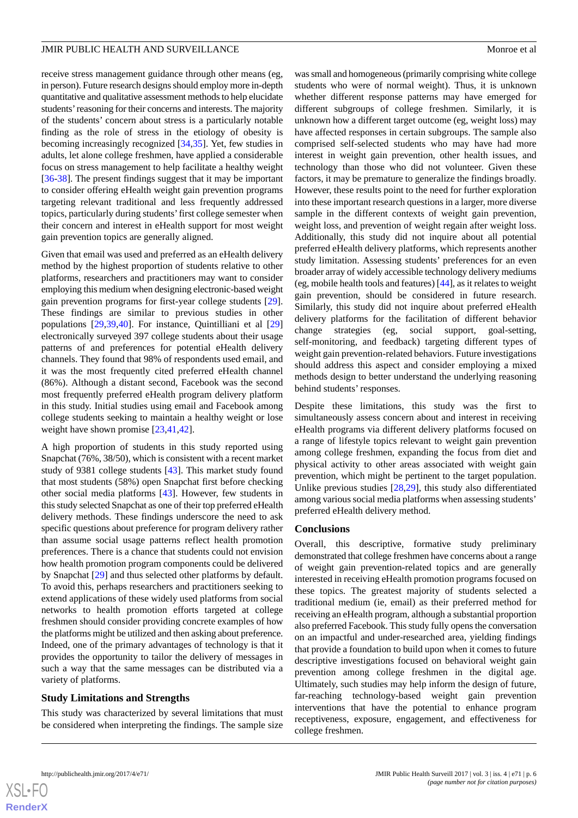receive stress management guidance through other means (eg, in person). Future research designs should employ more in-depth quantitative and qualitative assessment methods to help elucidate students'reasoning for their concerns and interests. The majority of the students' concern about stress is a particularly notable finding as the role of stress in the etiology of obesity is becoming increasingly recognized [\[34](#page-9-14),[35\]](#page-9-15). Yet, few studies in adults, let alone college freshmen, have applied a considerable focus on stress management to help facilitate a healthy weight [[36](#page-9-16)[-38](#page-9-17)]. The present findings suggest that it may be important to consider offering eHealth weight gain prevention programs targeting relevant traditional and less frequently addressed topics, particularly during students'first college semester when their concern and interest in eHealth support for most weight gain prevention topics are generally aligned.

Given that email was used and preferred as an eHealth delivery method by the highest proportion of students relative to other platforms, researchers and practitioners may want to consider employing this medium when designing electronic-based weight gain prevention programs for first-year college students [[29\]](#page-9-8). These findings are similar to previous studies in other populations [\[29](#page-9-8),[39,](#page-9-18)[40](#page-10-0)]. For instance, Quintilliani et al [\[29](#page-9-8)] electronically surveyed 397 college students about their usage patterns of and preferences for potential eHealth delivery channels. They found that 98% of respondents used email, and it was the most frequently cited preferred eHealth channel (86%). Although a distant second, Facebook was the second most frequently preferred eHealth program delivery platform in this study. Initial studies using email and Facebook among college students seeking to maintain a healthy weight or lose weight have shown promise [[23,](#page-9-2)[41](#page-10-1),[42\]](#page-10-2).

A high proportion of students in this study reported using Snapchat (76%, 38/50), which is consistent with a recent market study of 9381 college students [[43\]](#page-10-3). This market study found that most students (58%) open Snapchat first before checking other social media platforms [[43\]](#page-10-3). However, few students in this study selected Snapchat as one of their top preferred eHealth delivery methods. These findings underscore the need to ask specific questions about preference for program delivery rather than assume social usage patterns reflect health promotion preferences. There is a chance that students could not envision how health promotion program components could be delivered by Snapchat [[29\]](#page-9-8) and thus selected other platforms by default. To avoid this, perhaps researchers and practitioners seeking to extend applications of these widely used platforms from social networks to health promotion efforts targeted at college freshmen should consider providing concrete examples of how the platforms might be utilized and then asking about preference. Indeed, one of the primary advantages of technology is that it provides the opportunity to tailor the delivery of messages in such a way that the same messages can be distributed via a variety of platforms.

## **Study Limitations and Strengths**

This study was characterized by several limitations that must be considered when interpreting the findings. The sample size was small and homogeneous (primarily comprising white college students who were of normal weight). Thus, it is unknown whether different response patterns may have emerged for different subgroups of college freshmen. Similarly, it is unknown how a different target outcome (eg, weight loss) may have affected responses in certain subgroups. The sample also comprised self-selected students who may have had more interest in weight gain prevention, other health issues, and technology than those who did not volunteer. Given these factors, it may be premature to generalize the findings broadly. However, these results point to the need for further exploration into these important research questions in a larger, more diverse sample in the different contexts of weight gain prevention, weight loss, and prevention of weight regain after weight loss. Additionally, this study did not inquire about all potential preferred eHealth delivery platforms, which represents another study limitation. Assessing students' preferences for an even broader array of widely accessible technology delivery mediums (eg, mobile health tools and features) [\[44](#page-10-4)], as it relates to weight gain prevention, should be considered in future research. Similarly, this study did not inquire about preferred eHealth delivery platforms for the facilitation of different behavior change strategies (eg, social support, goal-setting, self-monitoring, and feedback) targeting different types of weight gain prevention-related behaviors. Future investigations should address this aspect and consider employing a mixed methods design to better understand the underlying reasoning behind students' responses.

Despite these limitations, this study was the first to simultaneously assess concern about and interest in receiving eHealth programs via different delivery platforms focused on a range of lifestyle topics relevant to weight gain prevention among college freshmen, expanding the focus from diet and physical activity to other areas associated with weight gain prevention, which might be pertinent to the target population. Unlike previous studies [[28,](#page-9-7)[29](#page-9-8)], this study also differentiated among various social media platforms when assessing students' preferred eHealth delivery method.

## **Conclusions**

Overall, this descriptive, formative study preliminary demonstrated that college freshmen have concerns about a range of weight gain prevention-related topics and are generally interested in receiving eHealth promotion programs focused on these topics. The greatest majority of students selected a traditional medium (ie, email) as their preferred method for receiving an eHealth program, although a substantial proportion also preferred Facebook. This study fully opens the conversation on an impactful and under-researched area, yielding findings that provide a foundation to build upon when it comes to future descriptive investigations focused on behavioral weight gain prevention among college freshmen in the digital age. Ultimately, such studies may help inform the design of future, far-reaching technology-based weight gain prevention interventions that have the potential to enhance program receptiveness, exposure, engagement, and effectiveness for college freshmen.

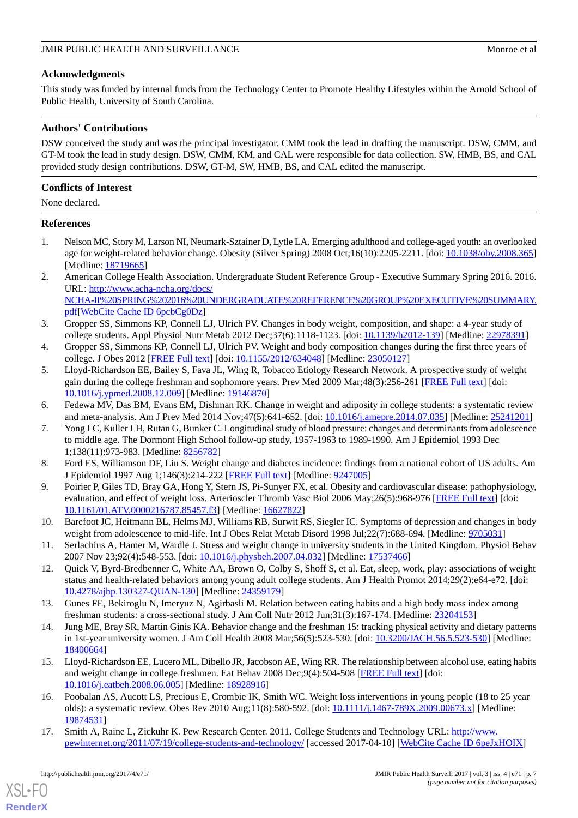## **Acknowledgments**

This study was funded by internal funds from the Technology Center to Promote Healthy Lifestyles within the Arnold School of Public Health, University of South Carolina.

## **Authors' Contributions**

DSW conceived the study and was the principal investigator. CMM took the lead in drafting the manuscript. DSW, CMM, and GT-M took the lead in study design. DSW, CMM, KM, and CAL were responsible for data collection. SW, HMB, BS, and CAL provided study design contributions. DSW, GT-M, SW, HMB, BS, and CAL edited the manuscript.

## **Conflicts of Interest**

None declared.

## <span id="page-8-0"></span>**References**

- <span id="page-8-1"></span>1. Nelson MC, Story M, Larson NI, Neumark-Sztainer D, Lytle LA. Emerging adulthood and college-aged youth: an overlooked age for weight-related behavior change. Obesity (Silver Spring) 2008 Oct;16(10):2205-2211. [doi: [10.1038/oby.2008.365](http://dx.doi.org/10.1038/oby.2008.365)] [Medline: [18719665](http://www.ncbi.nlm.nih.gov/entrez/query.fcgi?cmd=Retrieve&db=PubMed&list_uids=18719665&dopt=Abstract)]
- <span id="page-8-2"></span>2. American College Health Association. Undergraduate Student Reference Group - Executive Summary Spring 2016. 2016. URL: [http://www.acha-ncha.org/docs/](http://www.acha-ncha.org/docs/NCHA-II%20SPRING%202016%20UNDERGRADUATE%20REFERENCE%20GROUP%20EXECUTIVE%20SUMMARY.pdf) [NCHA-II%20SPRING%202016%20UNDERGRADUATE%20REFERENCE%20GROUP%20EXECUTIVE%20SUMMARY.](http://www.acha-ncha.org/docs/NCHA-II%20SPRING%202016%20UNDERGRADUATE%20REFERENCE%20GROUP%20EXECUTIVE%20SUMMARY.pdf) [pdf](http://www.acha-ncha.org/docs/NCHA-II%20SPRING%202016%20UNDERGRADUATE%20REFERENCE%20GROUP%20EXECUTIVE%20SUMMARY.pdf)[\[WebCite Cache ID 6pcbCg0Dz\]](http://www.webcitation.org/

                                            6pcbCg0Dz)
- <span id="page-8-4"></span>3. Gropper SS, Simmons KP, Connell LJ, Ulrich PV. Changes in body weight, composition, and shape: a 4-year study of college students. Appl Physiol Nutr Metab 2012 Dec;37(6):1118-1123. [doi: [10.1139/h2012-139\]](http://dx.doi.org/10.1139/h2012-139) [Medline: [22978391](http://www.ncbi.nlm.nih.gov/entrez/query.fcgi?cmd=Retrieve&db=PubMed&list_uids=22978391&dopt=Abstract)]
- 4. Gropper SS, Simmons KP, Connell LJ, Ulrich PV. Weight and body composition changes during the first three years of college. J Obes 2012 [[FREE Full text\]](http://dx.doi.org/10.1155/2012/634048) [doi: [10.1155/2012/634048](http://dx.doi.org/10.1155/2012/634048)] [Medline: [23050127\]](http://www.ncbi.nlm.nih.gov/entrez/query.fcgi?cmd=Retrieve&db=PubMed&list_uids=23050127&dopt=Abstract)
- <span id="page-8-5"></span><span id="page-8-3"></span>5. Lloyd-Richardson EE, Bailey S, Fava JL, Wing R, Tobacco Etiology Research Network. A prospective study of weight gain during the college freshman and sophomore years. Prev Med 2009 Mar;48(3):256-261 [\[FREE Full text\]](http://europepmc.org/abstract/MED/19146870) [doi: [10.1016/j.ypmed.2008.12.009\]](http://dx.doi.org/10.1016/j.ypmed.2008.12.009) [Medline: [19146870\]](http://www.ncbi.nlm.nih.gov/entrez/query.fcgi?cmd=Retrieve&db=PubMed&list_uids=19146870&dopt=Abstract)
- 6. Fedewa MV, Das BM, Evans EM, Dishman RK. Change in weight and adiposity in college students: a systematic review and meta-analysis. Am J Prev Med 2014 Nov;47(5):641-652. [doi: [10.1016/j.amepre.2014.07.035\]](http://dx.doi.org/10.1016/j.amepre.2014.07.035) [Medline: [25241201\]](http://www.ncbi.nlm.nih.gov/entrez/query.fcgi?cmd=Retrieve&db=PubMed&list_uids=25241201&dopt=Abstract)
- <span id="page-8-6"></span>7. Yong LC, Kuller LH, Rutan G, Bunker C. Longitudinal study of blood pressure: changes and determinants from adolescence to middle age. The Dormont High School follow-up study, 1957-1963 to 1989-1990. Am J Epidemiol 1993 Dec 1;138(11):973-983. [Medline: [8256782](http://www.ncbi.nlm.nih.gov/entrez/query.fcgi?cmd=Retrieve&db=PubMed&list_uids=8256782&dopt=Abstract)]
- <span id="page-8-7"></span>8. Ford ES, Williamson DF, Liu S. Weight change and diabetes incidence: findings from a national cohort of US adults. Am J Epidemiol 1997 Aug 1;146(3):214-222 [[FREE Full text](http://aje.oxfordjournals.org/cgi/pmidlookup?view=long&pmid=9247005)] [Medline: [9247005\]](http://www.ncbi.nlm.nih.gov/entrez/query.fcgi?cmd=Retrieve&db=PubMed&list_uids=9247005&dopt=Abstract)
- 9. Poirier P, Giles TD, Bray GA, Hong Y, Stern JS, Pi-Sunyer FX, et al. Obesity and cardiovascular disease: pathophysiology, evaluation, and effect of weight loss. Arterioscler Thromb Vasc Biol 2006 May;26(5):968-976 [\[FREE Full text\]](http://atvb.ahajournals.org/cgi/pmidlookup?view=long&pmid=16627822) [doi: [10.1161/01.ATV.0000216787.85457.f3](http://dx.doi.org/10.1161/01.ATV.0000216787.85457.f3)] [Medline: [16627822](http://www.ncbi.nlm.nih.gov/entrez/query.fcgi?cmd=Retrieve&db=PubMed&list_uids=16627822&dopt=Abstract)]
- 10. Barefoot JC, Heitmann BL, Helms MJ, Williams RB, Surwit RS, Siegler IC. Symptoms of depression and changes in body weight from adolescence to mid-life. Int J Obes Relat Metab Disord 1998 Jul; 22(7): 688-694. [Medline: [9705031\]](http://www.ncbi.nlm.nih.gov/entrez/query.fcgi?cmd=Retrieve&db=PubMed&list_uids=9705031&dopt=Abstract)
- 11. Serlachius A, Hamer M, Wardle J. Stress and weight change in university students in the United Kingdom. Physiol Behav 2007 Nov 23;92(4):548-553. [doi: [10.1016/j.physbeh.2007.04.032\]](http://dx.doi.org/10.1016/j.physbeh.2007.04.032) [Medline: [17537466\]](http://www.ncbi.nlm.nih.gov/entrez/query.fcgi?cmd=Retrieve&db=PubMed&list_uids=17537466&dopt=Abstract)
- 12. Quick V, Byrd-Bredbenner C, White AA, Brown O, Colby S, Shoff S, et al. Eat, sleep, work, play: associations of weight status and health-related behaviors among young adult college students. Am J Health Promot 2014;29(2):e64-e72. [doi: [10.4278/ajhp.130327-QUAN-130\]](http://dx.doi.org/10.4278/ajhp.130327-QUAN-130) [Medline: [24359179](http://www.ncbi.nlm.nih.gov/entrez/query.fcgi?cmd=Retrieve&db=PubMed&list_uids=24359179&dopt=Abstract)]
- <span id="page-8-8"></span>13. Gunes FE, Bekiroglu N, Imeryuz N, Agirbasli M. Relation between eating habits and a high body mass index among freshman students: a cross-sectional study. J Am Coll Nutr 2012 Jun;31(3):167-174. [Medline: [23204153\]](http://www.ncbi.nlm.nih.gov/entrez/query.fcgi?cmd=Retrieve&db=PubMed&list_uids=23204153&dopt=Abstract)
- <span id="page-8-9"></span>14. Jung ME, Bray SR, Martin Ginis KA. Behavior change and the freshman 15: tracking physical activity and dietary patterns in 1st-year university women. J Am Coll Health 2008 Mar;56(5):523-530. [doi: [10.3200/JACH.56.5.523-530\]](http://dx.doi.org/10.3200/JACH.56.5.523-530) [Medline: [18400664](http://www.ncbi.nlm.nih.gov/entrez/query.fcgi?cmd=Retrieve&db=PubMed&list_uids=18400664&dopt=Abstract)]
- <span id="page-8-10"></span>15. Lloyd-Richardson EE, Lucero ML, Dibello JR, Jacobson AE, Wing RR. The relationship between alcohol use, eating habits and weight change in college freshmen. Eat Behav 2008 Dec;9(4):504-508 [\[FREE Full text\]](http://europepmc.org/abstract/MED/18928916) [doi: [10.1016/j.eatbeh.2008.06.005\]](http://dx.doi.org/10.1016/j.eatbeh.2008.06.005) [Medline: [18928916\]](http://www.ncbi.nlm.nih.gov/entrez/query.fcgi?cmd=Retrieve&db=PubMed&list_uids=18928916&dopt=Abstract)
- 16. Poobalan AS, Aucott LS, Precious E, Crombie IK, Smith WC. Weight loss interventions in young people (18 to 25 year olds): a systematic review. Obes Rev 2010 Aug;11(8):580-592. [doi: [10.1111/j.1467-789X.2009.00673.x](http://dx.doi.org/10.1111/j.1467-789X.2009.00673.x)] [Medline: [19874531](http://www.ncbi.nlm.nih.gov/entrez/query.fcgi?cmd=Retrieve&db=PubMed&list_uids=19874531&dopt=Abstract)]
- 17. Smith A, Raine L, Zickuhr K. Pew Research Center. 2011. College Students and Technology URL: [http://www.](http://www.pewinternet.org/2011/07/19/college-students-and-technology/) [pewinternet.org/2011/07/19/college-students-and-technology/](http://www.pewinternet.org/2011/07/19/college-students-and-technology/) [accessed 2017-04-10] [\[WebCite Cache ID 6peJxHOIX\]](http://www.webcitation.org/

                                            6peJxHOIX)

[XSL](http://www.w3.org/Style/XSL)•FO **[RenderX](http://www.renderx.com/)**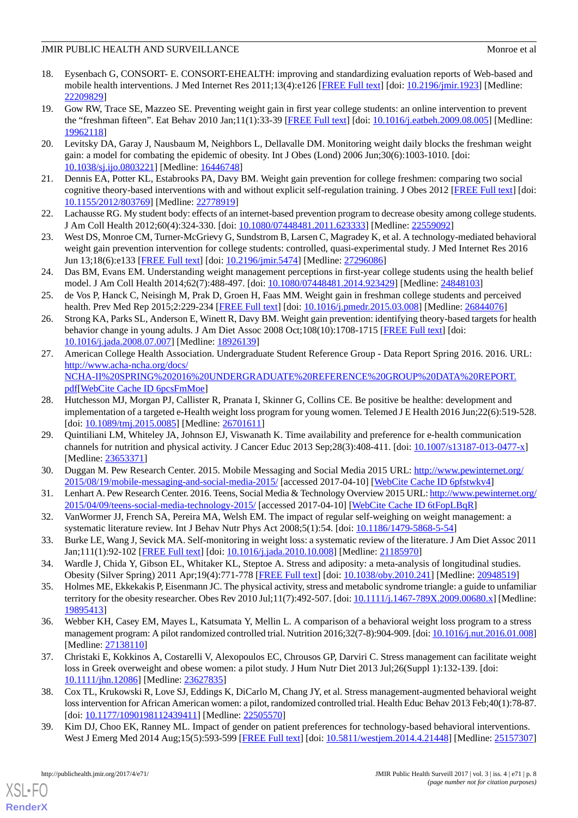- <span id="page-9-0"></span>18. Eysenbach G, CONSORT- E. CONSORT-EHEALTH: improving and standardizing evaluation reports of Web-based and mobile health interventions. J Med Internet Res 2011;13(4):e126 [[FREE Full text](http://www.jmir.org/2011/4/e126/)] [doi: [10.2196/jmir.1923](http://dx.doi.org/10.2196/jmir.1923)] [Medline: [22209829](http://www.ncbi.nlm.nih.gov/entrez/query.fcgi?cmd=Retrieve&db=PubMed&list_uids=22209829&dopt=Abstract)]
- <span id="page-9-1"></span>19. Gow RW, Trace SE, Mazzeo SE. Preventing weight gain in first year college students: an online intervention to prevent the "freshman fifteen". Eat Behav 2010 Jan;11(1):33-39 [[FREE Full text](http://europepmc.org/abstract/MED/19962118)] [doi: [10.1016/j.eatbeh.2009.08.005](http://dx.doi.org/10.1016/j.eatbeh.2009.08.005)] [Medline: [19962118](http://www.ncbi.nlm.nih.gov/entrez/query.fcgi?cmd=Retrieve&db=PubMed&list_uids=19962118&dopt=Abstract)]
- 20. Levitsky DA, Garay J, Nausbaum M, Neighbors L, Dellavalle DM. Monitoring weight daily blocks the freshman weight gain: a model for combating the epidemic of obesity. Int J Obes (Lond) 2006 Jun;30(6):1003-1010. [doi: [10.1038/sj.ijo.0803221](http://dx.doi.org/10.1038/sj.ijo.0803221)] [Medline: [16446748\]](http://www.ncbi.nlm.nih.gov/entrez/query.fcgi?cmd=Retrieve&db=PubMed&list_uids=16446748&dopt=Abstract)
- <span id="page-9-3"></span>21. Dennis EA, Potter KL, Estabrooks PA, Davy BM. Weight gain prevention for college freshmen: comparing two social cognitive theory-based interventions with and without explicit self-regulation training. J Obes 2012 [[FREE Full text](http://dx.doi.org/10.1155/2012/803769)] [doi: [10.1155/2012/803769\]](http://dx.doi.org/10.1155/2012/803769) [Medline: [22778919](http://www.ncbi.nlm.nih.gov/entrez/query.fcgi?cmd=Retrieve&db=PubMed&list_uids=22778919&dopt=Abstract)]
- <span id="page-9-2"></span>22. Lachausse RG. My student body: effects of an internet-based prevention program to decrease obesity among college students. J Am Coll Health 2012;60(4):324-330. [doi: [10.1080/07448481.2011.623333](http://dx.doi.org/10.1080/07448481.2011.623333)] [Medline: [22559092](http://www.ncbi.nlm.nih.gov/entrez/query.fcgi?cmd=Retrieve&db=PubMed&list_uids=22559092&dopt=Abstract)]
- <span id="page-9-4"></span>23. West DS, Monroe CM, Turner-McGrievy G, Sundstrom B, Larsen C, Magradey K, et al. A technology-mediated behavioral weight gain prevention intervention for college students: controlled, quasi-experimental study. J Med Internet Res 2016 Jun 13;18(6):e133 [\[FREE Full text\]](http://www.jmir.org/2016/6/e133/) [doi: [10.2196/jmir.5474\]](http://dx.doi.org/10.2196/jmir.5474) [Medline: [27296086\]](http://www.ncbi.nlm.nih.gov/entrez/query.fcgi?cmd=Retrieve&db=PubMed&list_uids=27296086&dopt=Abstract)
- <span id="page-9-13"></span>24. Das BM, Evans EM. Understanding weight management perceptions in first-year college students using the health belief model. J Am Coll Health 2014;62(7):488-497. [doi: [10.1080/07448481.2014.923429](http://dx.doi.org/10.1080/07448481.2014.923429)] [Medline: [24848103](http://www.ncbi.nlm.nih.gov/entrez/query.fcgi?cmd=Retrieve&db=PubMed&list_uids=24848103&dopt=Abstract)]
- <span id="page-9-5"></span>25. de Vos P, Hanck C, Neisingh M, Prak D, Groen H, Faas MM. Weight gain in freshman college students and perceived health. Prev Med Rep 2015;2:229-234 [[FREE Full text](https://linkinghub.elsevier.com/retrieve/pii/S2211-3355(15)00033-9)] [doi: [10.1016/j.pmedr.2015.03.008](http://dx.doi.org/10.1016/j.pmedr.2015.03.008)] [Medline: [26844076](http://www.ncbi.nlm.nih.gov/entrez/query.fcgi?cmd=Retrieve&db=PubMed&list_uids=26844076&dopt=Abstract)]
- <span id="page-9-6"></span>26. Strong KA, Parks SL, Anderson E, Winett R, Davy BM. Weight gain prevention: identifying theory-based targets for health behavior change in young adults. J Am Diet Assoc 2008 Oct;108(10):1708-1715 [\[FREE Full text\]](http://europepmc.org/abstract/MED/18926139) [doi: [10.1016/j.jada.2008.07.007](http://dx.doi.org/10.1016/j.jada.2008.07.007)] [Medline: [18926139](http://www.ncbi.nlm.nih.gov/entrez/query.fcgi?cmd=Retrieve&db=PubMed&list_uids=18926139&dopt=Abstract)]
- <span id="page-9-7"></span>27. American College Health Association. Undergraduate Student Reference Group - Data Report Spring 2016. 2016. URL: [http://www.acha-ncha.org/docs/](http://www.acha-ncha.org/docs/NCHA-II%20SPRING%202016%20UNDERGRADUATE%20REFERENCE%20GROUP%20DATA%20REPORT.pdf) [NCHA-II%20SPRING%202016%20UNDERGRADUATE%20REFERENCE%20GROUP%20DATA%20REPORT.](http://www.acha-ncha.org/docs/NCHA-II%20SPRING%202016%20UNDERGRADUATE%20REFERENCE%20GROUP%20DATA%20REPORT.pdf) [pdf](http://www.acha-ncha.org/docs/NCHA-II%20SPRING%202016%20UNDERGRADUATE%20REFERENCE%20GROUP%20DATA%20REPORT.pdf)[\[WebCite Cache ID 6pcsFmMoe\]](http://www.webcitation.org/

                                            6pcsFmMoe)
- <span id="page-9-8"></span>28. Hutchesson MJ, Morgan PJ, Callister R, Pranata I, Skinner G, Collins CE. Be positive be healthe: development and implementation of a targeted e-Health weight loss program for young women. Telemed J E Health 2016 Jun;22(6):519-528. [doi: [10.1089/tmj.2015.0085\]](http://dx.doi.org/10.1089/tmj.2015.0085) [Medline: [26701611](http://www.ncbi.nlm.nih.gov/entrez/query.fcgi?cmd=Retrieve&db=PubMed&list_uids=26701611&dopt=Abstract)]
- <span id="page-9-10"></span><span id="page-9-9"></span>29. Quintiliani LM, Whiteley JA, Johnson EJ, Viswanath K. Time availability and preference for e-health communication channels for nutrition and physical activity. J Cancer Educ 2013 Sep;28(3):408-411. [doi: [10.1007/s13187-013-0477-x\]](http://dx.doi.org/10.1007/s13187-013-0477-x) [Medline: [23653371](http://www.ncbi.nlm.nih.gov/entrez/query.fcgi?cmd=Retrieve&db=PubMed&list_uids=23653371&dopt=Abstract)]
- <span id="page-9-11"></span>30. Duggan M. Pew Research Center. 2015. Mobile Messaging and Social Media 2015 URL: [http://www.pewinternet.org/](http://www.pewinternet.org/2015/08/19/mobile-messaging-and-social-media-2015/) [2015/08/19/mobile-messaging-and-social-media-2015/](http://www.pewinternet.org/2015/08/19/mobile-messaging-and-social-media-2015/) [accessed 2017-04-10] [[WebCite Cache ID 6pfstwkv4\]](http://www.webcitation.org/

                                            6pfstwkv4)
- <span id="page-9-12"></span>31. Lenhart A. Pew Research Center. 2016. Teens, Social Media & Technology Overview 2015 URL: [http://www.pewinternet.org/](http://www.pewinternet.org/2015/04/09/teens-social-media-technology-2015/) [2015/04/09/teens-social-media-technology-2015/](http://www.pewinternet.org/2015/04/09/teens-social-media-technology-2015/) [accessed 2017-04-10] [[WebCite Cache ID 6tFopLBqR](http://www.webcitation.org/

                                            6tFopLBqR)]
- <span id="page-9-14"></span>32. VanWormer JJ, French SA, Pereira MA, Welsh EM. The impact of regular self-weighing on weight management: a systematic literature review. Int J Behav Nutr Phys Act 2008;5(1):54. [doi: [10.1186/1479-5868-5-54](http://dx.doi.org/10.1186/1479-5868-5-54)]
- <span id="page-9-15"></span>33. Burke LE, Wang J, Sevick MA. Self-monitoring in weight loss: a systematic review of the literature. J Am Diet Assoc 2011 Jan;111(1):92-102 [\[FREE Full text\]](http://europepmc.org/abstract/MED/21185970) [doi: [10.1016/j.jada.2010.10.008\]](http://dx.doi.org/10.1016/j.jada.2010.10.008) [Medline: [21185970](http://www.ncbi.nlm.nih.gov/entrez/query.fcgi?cmd=Retrieve&db=PubMed&list_uids=21185970&dopt=Abstract)]
- <span id="page-9-16"></span>34. Wardle J, Chida Y, Gibson EL, Whitaker KL, Steptoe A. Stress and adiposity: a meta-analysis of longitudinal studies. Obesity (Silver Spring) 2011 Apr;19(4):771-778 [[FREE Full text](http://dx.doi.org/10.1038/oby.2010.241)] [doi: [10.1038/oby.2010.241\]](http://dx.doi.org/10.1038/oby.2010.241) [Medline: [20948519\]](http://www.ncbi.nlm.nih.gov/entrez/query.fcgi?cmd=Retrieve&db=PubMed&list_uids=20948519&dopt=Abstract)
- 35. Holmes ME, Ekkekakis P, Eisenmann JC. The physical activity, stress and metabolic syndrome triangle: a guide to unfamiliar territory for the obesity researcher. Obes Rev 2010 Jul;11(7):492-507. [doi: [10.1111/j.1467-789X.2009.00680.x](http://dx.doi.org/10.1111/j.1467-789X.2009.00680.x)] [Medline: [19895413](http://www.ncbi.nlm.nih.gov/entrez/query.fcgi?cmd=Retrieve&db=PubMed&list_uids=19895413&dopt=Abstract)]
- <span id="page-9-17"></span>36. Webber KH, Casey EM, Mayes L, Katsumata Y, Mellin L. A comparison of a behavioral weight loss program to a stress management program: A pilot randomized controlled trial. Nutrition 2016;32(7-8):904-909. [doi: [10.1016/j.nut.2016.01.008\]](http://dx.doi.org/10.1016/j.nut.2016.01.008) [Medline: [27138110](http://www.ncbi.nlm.nih.gov/entrez/query.fcgi?cmd=Retrieve&db=PubMed&list_uids=27138110&dopt=Abstract)]
- <span id="page-9-18"></span>37. Christaki E, Kokkinos A, Costarelli V, Alexopoulos EC, Chrousos GP, Darviri C. Stress management can facilitate weight loss in Greek overweight and obese women: a pilot study. J Hum Nutr Diet 2013 Jul;26(Suppl 1):132-139. [doi: [10.1111/jhn.12086](http://dx.doi.org/10.1111/jhn.12086)] [Medline: [23627835\]](http://www.ncbi.nlm.nih.gov/entrez/query.fcgi?cmd=Retrieve&db=PubMed&list_uids=23627835&dopt=Abstract)
- 38. Cox TL, Krukowski R, Love SJ, Eddings K, DiCarlo M, Chang JY, et al. Stress management-augmented behavioral weight loss intervention for African American women: a pilot, randomized controlled trial. Health Educ Behav 2013 Feb;40(1):78-87. [doi: [10.1177/1090198112439411](http://dx.doi.org/10.1177/1090198112439411)] [Medline: [22505570\]](http://www.ncbi.nlm.nih.gov/entrez/query.fcgi?cmd=Retrieve&db=PubMed&list_uids=22505570&dopt=Abstract)
- 39. Kim DJ, Choo EK, Ranney ML. Impact of gender on patient preferences for technology-based behavioral interventions. West J Emerg Med 2014 Aug;15(5):593-599 [[FREE Full text](http://escholarship.org/uc/item/43z5n12b)] [doi: [10.5811/westjem.2014.4.21448](http://dx.doi.org/10.5811/westjem.2014.4.21448)] [Medline: [25157307](http://www.ncbi.nlm.nih.gov/entrez/query.fcgi?cmd=Retrieve&db=PubMed&list_uids=25157307&dopt=Abstract)]

[XSL](http://www.w3.org/Style/XSL)•FO **[RenderX](http://www.renderx.com/)**